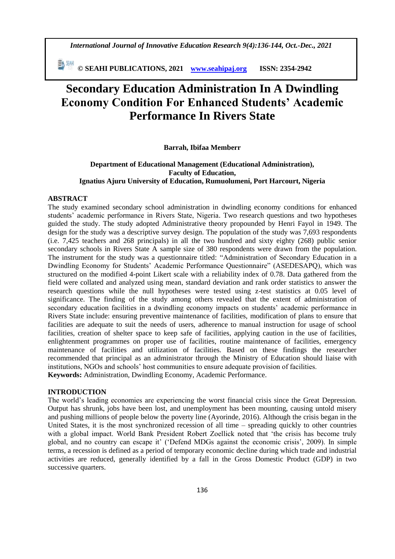*International Journal of Innovative Education Research 9(4):136-144, Oct.-Dec., 2021*

 **© SEAHI PUBLICATIONS, 2021 [www.seahipaj.org](http://www.seahipaj.org/) ISSN: 2354-2942**

# **Secondary Education Administration In A Dwindling Economy Condition For Enhanced Students' Academic Performance In Rivers State**

#### **Barrah, Ibifaa Memberr**

# **Department of Educational Management (Educational Administration), Faculty of Education, Ignatius Ajuru University of Education, Rumuolumeni, Port Harcourt, Nigeria**

#### **ABSTRACT**

The study examined secondary school administration in dwindling economy conditions for enhanced students' academic performance in Rivers State, Nigeria. Two research questions and two hypotheses guided the study. The study adopted Administrative theory propounded by Henri Fayol in 1949. The design for the study was a descriptive survey design. The population of the study was 7,693 respondents (i.e. 7,425 teachers and 268 principals) in all the two hundred and sixty eighty (268) public senior secondary schools in Rivers State A sample size of 380 respondents were drawn from the population. The instrument for the study was a questionnaire titled: "Administration of Secondary Education in a Dwindling Economy for Students' Academic Performance Questionnaire" (ASEDESAPQ), which was structured on the modified 4-point Likert scale with a reliability index of 0.78. Data gathered from the field were collated and analyzed using mean, standard deviation and rank order statistics to answer the research questions while the null hypotheses were tested using z-test statistics at 0.05 level of significance. The finding of the study among others revealed that the extent of administration of secondary education facilities in a dwindling economy impacts on students' academic performance in Rivers State include: ensuring preventive maintenance of facilities, modification of plans to ensure that facilities are adequate to suit the needs of users, adherence to manual instruction for usage of school facilities, creation of shelter space to keep safe of facilities, applying caution in the use of facilities, enlightenment programmes on proper use of facilities, routine maintenance of facilities, emergency maintenance of facilities and utilization of facilities. Based on these findings the researcher recommended that principal as an administrator through the Ministry of Education should liaise with institutions, NGOs and schools' host communities to ensure adequate provision of facilities. **Keywords:** Administration, Dwindling Economy, Academic Performance.

## **INTRODUCTION**

The world's leading economies are experiencing the worst financial crisis since the Great Depression. Output has shrunk, jobs have been lost, and unemployment has been mounting, causing untold misery and pushing millions of people below the poverty line (Ayorinde, 2016). Although the crisis began in the United States, it is the most synchronized recession of all time – spreading quickly to other countries with a global impact. World Bank President Robert Zoellick noted that 'the crisis has become truly global, and no country can escape it' ('Defend MDGs against the economic crisis', 2009). In simple terms, a recession is defined as a period of temporary economic decline during which trade and industrial activities are reduced, generally identified by a fall in the Gross Domestic Product (GDP) in two successive quarters.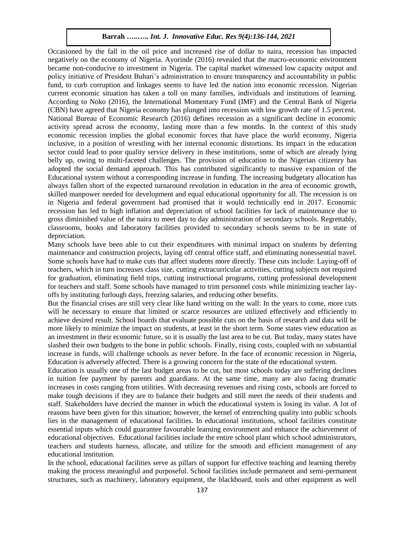Occasioned by the fall in the oil price and increased rise of dollar to naira, recession has impacted negatively on the economy of Nigeria. Ayorinde (2016) revealed that the macro-economic environment became non-conducive to investment in Nigeria. The capital market witnessed low capacity output and policy initiative of President Buhari's administration to ensure transparency and accountability in public fund, to curb corruption and linkages seems to have led the nation into economic recession. Nigerian current economic situation has taken a toll on many families, individuals and institutions of learning. According to Noko (2016), the International Momentary Fund (IMF) and the Central Bank of Nigeria (CBN) have agreed that Nigeria economy has plunged into recession with low growth rate of 1.5 percent. National Bureau of Economic Research (2016) defines recession as a significant decline in economic activity spread across the economy, lasting more than a few months. In the context of this study economic recession implies the global economic forces that have place the world economy, Nigeria inclusive, in a position of wrestling with her internal economic distortions. Its impact in the education sector could lead to poor quality service delivery in these institutions, some of which are already lying belly up, owing to multi-faceted challenges. The provision of education to the Nigerian citizenry has adopted the social demand approach. This has contributed significantly to massive expansion of the Educational system without a corresponding increase in funding. The increasing budgetary allocation has always fallen short of the expected turnaround revolution in education in the area of economic growth, skilled manpower needed for development and equal educational opportunity for all. The recession is on in Nigeria and federal government had promised that it would technically end in 2017. Economic recession has led to high inflation and depreciation of school facilities for lack of maintenance due to gross diminished value of the naira to meet day to day administration of secondary schools. Regrettably, classrooms, books and laboratory facilities provided to secondary schools seems to be in state of depreciation.

Many schools have been able to cut their expenditures with minimal impact on students by deferring maintenance and construction projects, laying off central office staff, and eliminating nonessential travel. Some schools have had to make cuts that affect students more directly. These cuts include: Laying-off of teachers, which in turn increases class size, cutting extracurricular activities, cutting subjects not required for graduation, eliminating field trips, cutting instructional programs, cutting professional development for teachers and staff. Some schools have managed to trim personnel costs while minimizing teacher layoffs by instituting furlough days, freezing salaries, and reducing other benefits.

But the financial crises are still very clear like hand writing on the wall: In the years to come, more cuts will be necessary to ensure that limited or scarce resources are utilized effectively and efficiently to achieve desired result. School boards that evaluate possible cuts on the basis of research and data will be more likely to minimize the impact on students, at least in the short term. Some states view education as an investment in their economic future, so it is usually the last area to be cut. But today, many states have slashed their own budgets to the bone in public schools. Finally, rising costs, coupled with no substantial increase in funds, will challenge schools as never before. In the face of economic recession in Nigeria, Education is adversely affected. There is a growing concern for the state of the educational system.

Education is usually one of the last budget areas to be cut, but most schools today are suffering declines in tuition fee payment by parents and guardians. At the same time, many are also facing dramatic increases in costs ranging from utilities. With decreasing revenues and rising costs, schools are forced to make tough decisions if they are to balance their budgets and still meet the needs of their students and staff. Stakeholders have decried the manner in which the educational system is losing its value. A lot of reasons have been given for this situation; however, the kernel of entrenching quality into public schools lies in the management of educational facilities. In educational institutions, school facilities constitute essential inputs which could guarantee favourable learning environment and enhance the achievement of educational objectives. Educational facilities include the entire school plant which school administrators, teachers and students harness, allocate, and utilize for the smooth and efficient management of any educational institution.

In the school, educational facilities serve as pillars of support for effective teaching and learning thereby making the process meaningful and purposeful. School facilities include permanent and semi-permanent structures, such as machinery, laboratory equipment, the blackboard, tools and other equipment as well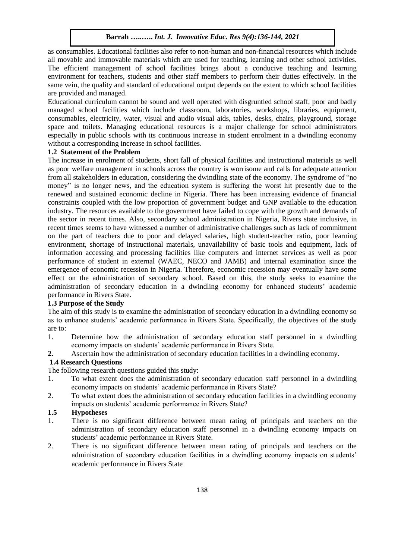as consumables. Educational facilities also refer to non-human and non-financial resources which include all movable and immovable materials which are used for teaching, learning and other school activities. The efficient management of school facilities brings about a conducive teaching and learning environment for teachers, students and other staff members to perform their duties effectively. In the same vein, the quality and standard of educational output depends on the extent to which school facilities are provided and managed.

Educational curriculum cannot be sound and well operated with disgruntled school staff, poor and badly managed school facilities which include classroom, laboratories, workshops, libraries, equipment, consumables, electricity, water, visual and audio visual aids, tables, desks, chairs, playground, storage space and toilets. Managing educational resources is a major challenge for school administrators especially in public schools with its continuous increase in student enrolment in a dwindling economy without a corresponding increase in school facilities.

# **1.2 Statement of the Problem**

The increase in enrolment of students, short fall of physical facilities and instructional materials as well as poor welfare management in schools across the country is worrisome and calls for adequate attention from all stakeholders in education, considering the dwindling state of the economy. The syndrome of "no money" is no longer news, and the education system is suffering the worst hit presently due to the renewed and sustained economic decline in Nigeria. There has been increasing evidence of financial constraints coupled with the low proportion of government budget and GNP available to the education industry. The resources available to the government have failed to cope with the growth and demands of the sector in recent times. Also, secondary school administration in Nigeria, Rivers state inclusive, in recent times seems to have witnessed a number of administrative challenges such as lack of commitment on the part of teachers due to poor and delayed salaries, high student-teacher ratio, poor learning environment, shortage of instructional materials, unavailability of basic tools and equipment, lack of information accessing and processing facilities like computers and internet services as well as poor performance of student in external (WAEC, NECO and JAMB) and internal examination since the emergence of economic recession in Nigeria. Therefore, economic recession may eventually have some effect on the administration of secondary school. Based on this, the study seeks to examine the administration of secondary education in a dwindling economy for enhanced students' academic performance in Rivers State.

## **1.3 Purpose of the Study**

The aim of this study is to examine the administration of secondary education in a dwindling economy so as to enhance students' academic performance in Rivers State. Specifically, the objectives of the study are to:

- 1. Determine how the administration of secondary education staff personnel in a dwindling economy impacts on students' academic performance in Rivers State.
- **2.** Ascertain how the administration of secondary education facilities in a dwindling economy.

## **1.4 Research Questions**

The following research questions guided this study:

- 1. To what extent does the administration of secondary education staff personnel in a dwindling economy impacts on students' academic performance in Rivers State?
- 2. To what extent does the administration of secondary education facilities in a dwindling economy impacts on students' academic performance in Rivers State?

#### **1.5 Hypotheses**

- 1. There is no significant difference between mean rating of principals and teachers on the administration of secondary education staff personnel in a dwindling economy impacts on students' academic performance in Rivers State.
- 2. There is no significant difference between mean rating of principals and teachers on the administration of secondary education facilities in a dwindling economy impacts on students' academic performance in Rivers State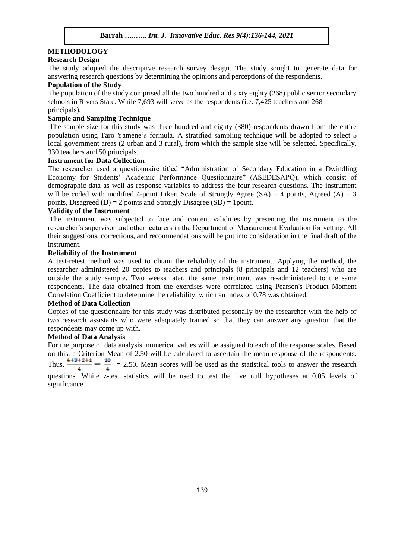# **METHODOLOGY**

## **Research Design**

The study adopted the descriptive research survey design. The study sought to generate data for answering research questions by determining the opinions and perceptions of the respondents.

## **Population of the Study**

The population of the study comprised all the two hundred and sixty eighty (268) public senior secondary schools in Rivers State. While 7,693 will serve as the respondents (i.e. 7,425 teachers and 268 principals).

## **Sample and Sampling Technique**

The sample size for this study was three hundred and eighty (380) respondents drawn from the entire population using Taro Yamene's formula. A stratified sampling technique will be adopted to select 5 local government areas (2 urban and 3 rural), from which the sample size will be selected. Specifically, 330 teachers and 50 principals.

#### **Instrument for Data Collection**

The researcher used a questionnaire titled "Administration of Secondary Education in a Dwindling Economy for Students' Academic Performance Questionnaire" (ASEDESAPQ), which consist of demographic data as well as response variables to address the four research questions. The instrument will be coded with modified 4-point Likert Scale of Strongly Agree  $(S_A) = 4$  points, Agreed  $(A) = 3$ points, Disagreed (D) = 2 points and Strongly Disagree (SD) = 1 point.

# **Validity of the Instrument**

The instrument was subjected to face and content validities by presenting the instrument to the researcher's supervisor and other lecturers in the Department of Measurement Evaluation for vetting. All their suggestions, corrections, and recommendations will be put into consideration in the final draft of the instrument.

#### **Reliability of the Instrument**

A test-retest method was used to obtain the reliability of the instrument. Applying the method, the researcher administered 20 copies to teachers and principals (8 principals and 12 teachers) who are outside the study sample. Two weeks later, the same instrument was re-administered to the same respondents. The data obtained from the exercises were correlated using Pearson's Product Moment Correlation Coefficient to determine the reliability, which an index of 0.78 was obtained.

#### **Method of Data Collection**

Copies of the questionnaire for this study was distributed personally by the researcher with the help of two research assistants who were adequately trained so that they can answer any question that the respondents may come up with.

## **Method of Data Analysis**

For the purpose of data analysis, numerical values will be assigned to each of the response scales. Based on this, a Criterion Mean of 2.50 will be calculated to ascertain the mean response of the respondents. Thus,  $\frac{4+3+2+1}{1} = \frac{10}{1}$  = 2.50. Mean scores will be used as the statistical tools to answer the research questions. While z-test statistics will be used to test the five null hypotheses at 0.05 levels of significance.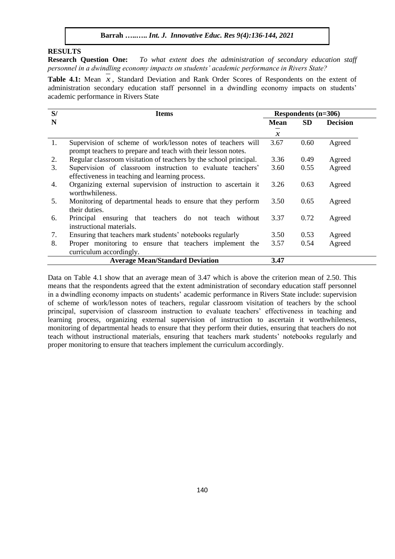# **RESULTS**

**Research Question One:** *To what extent does the administration of secondary education staff personnel in a dwindling economy impacts on students' academic performance in Rivers State?*

Table 4.1: Mean  $x$ , Standard Deviation and Rank Order Scores of Respondents on the extent of administration secondary education staff personnel in a dwindling economy impacts on students' academic performance in Rivers State

| S/ | <b>Items</b>                                                                                                                 |               | Respondents (n=306) |                 |  |
|----|------------------------------------------------------------------------------------------------------------------------------|---------------|---------------------|-----------------|--|
| N  |                                                                                                                              | <b>Mean</b>   | <b>SD</b>           | <b>Decision</b> |  |
|    |                                                                                                                              | $\mathcal{X}$ |                     |                 |  |
| 1. | Supervision of scheme of work/lesson notes of teachers will<br>prompt teachers to prepare and teach with their lesson notes. | 3.67          | 0.60                | Agreed          |  |
| 2. | Regular classroom visitation of teachers by the school principal.                                                            | 3.36          | 0.49                | Agreed          |  |
| 3. | Supervision of classroom instruction to evaluate teachers'<br>effectiveness in teaching and learning process.                | 3.60          | 0.55                | Agreed          |  |
| 4. | Organizing external supervision of instruction to ascertain it<br>worthwhileness.                                            | 3.26          | 0.63                | Agreed          |  |
| 5. | Monitoring of departmental heads to ensure that they perform<br>their duties.                                                | 3.50          | 0.65                | Agreed          |  |
| 6. | Principal ensuring that teachers do not teach<br>without<br>instructional materials.                                         | 3.37          | 0.72                | Agreed          |  |
| 7. | Ensuring that teachers mark students' notebooks regularly                                                                    | 3.50          | 0.53                | Agreed          |  |
| 8. | Proper monitoring to ensure that teachers implement the<br>curriculum accordingly.                                           | 3.57          | 0.54                | Agreed          |  |
|    | <b>Average Mean/Standard Deviation</b>                                                                                       | 3.47          |                     |                 |  |

Data on Table 4.1 show that an average mean of 3.47 which is above the criterion mean of 2.50. This means that the respondents agreed that the extent administration of secondary education staff personnel in a dwindling economy impacts on students' academic performance in Rivers State include: supervision of scheme of work/lesson notes of teachers, regular classroom visitation of teachers by the school principal, supervision of classroom instruction to evaluate teachers' effectiveness in teaching and learning process, organizing external supervision of instruction to ascertain it worthwhileness, monitoring of departmental heads to ensure that they perform their duties, ensuring that teachers do not teach without instructional materials, ensuring that teachers mark students' notebooks regularly and proper monitoring to ensure that teachers implement the curriculum accordingly.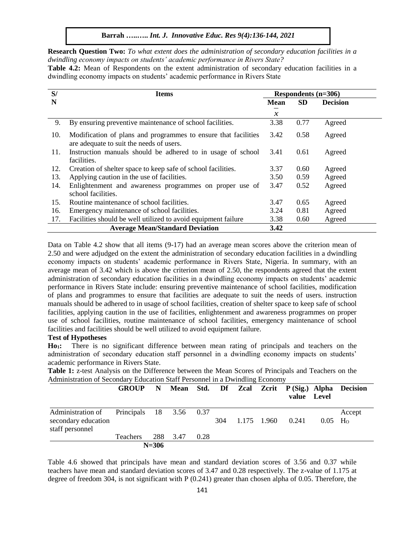**Barrah …..…..** *Int. J. Innovative Educ. Res 9(4):136-144, 2021*

**Research Question Two:** *To what extent does the administration of secondary education facilities in a dwindling economy impacts on students' academic performance in Rivers State?*

**Table 4.2:** Mean of Respondents on the extent administration of secondary education facilities in a dwindling economy impacts on students' academic performance in Rivers State

| S/  | <b>Items</b>                                                                                               | Respondents (n=306) |           |                 |  |  |
|-----|------------------------------------------------------------------------------------------------------------|---------------------|-----------|-----------------|--|--|
| N   |                                                                                                            | <b>Mean</b>         | <b>SD</b> | <b>Decision</b> |  |  |
|     |                                                                                                            | $\mathcal X$        |           |                 |  |  |
| 9.  | By ensuring preventive maintenance of school facilities.                                                   | 3.38                | 0.77      | Agreed          |  |  |
| 10. | Modification of plans and programmes to ensure that facilities<br>are adequate to suit the needs of users. | 3.42                | 0.58      | Agreed          |  |  |
| 11. | Instruction manuals should be adhered to in usage of school<br>facilities.                                 | 3.41                | 0.61      | Agreed          |  |  |
| 12. | Creation of shelter space to keep safe of school facilities.                                               | 3.37                | 0.60      | Agreed          |  |  |
| 13. | Applying caution in the use of facilities.                                                                 | 3.50                | 0.59      | Agreed          |  |  |
| 14. | Enlightenment and awareness programmes on proper use of<br>school facilities.                              | 3.47                | 0.52      | Agreed          |  |  |
| 15. | Routine maintenance of school facilities.                                                                  | 3.47                | 0.65      | Agreed          |  |  |
| 16. | Emergency maintenance of school facilities.                                                                | 3.24                | 0.81      | Agreed          |  |  |
| 17. | Facilities should be well utilized to avoid equipment failure                                              | 3.38                | 0.60      | Agreed          |  |  |
|     | <b>Average Mean/Standard Deviation</b>                                                                     | 3.42                |           |                 |  |  |

Data on Table 4.2 show that all items (9-17) had an average mean scores above the criterion mean of 2.50 and were adjudged on the extent the administration of secondary education facilities in a dwindling economy impacts on students' academic performance in Rivers State, Nigeria. In summary, with an average mean of 3.42 which is above the criterion mean of 2.50, the respondents agreed that the extent administration of secondary education facilities in a dwindling economy impacts on students' academic performance in Rivers State include: ensuring preventive maintenance of school facilities, modification of plans and programmes to ensure that facilities are adequate to suit the needs of users. instruction manuals should be adhered to in usage of school facilities, creation of shelter space to keep safe of school facilities, applying caution in the use of facilities, enlightenment and awareness programmes on proper use of school facilities, routine maintenance of school facilities, emergency maintenance of school facilities and facilities should be well utilized to avoid equipment failure.

## **Test of Hypotheses**

**Ho1:** There is no significant difference between mean rating of principals and teachers on the administration of secondary education staff personnel in a dwindling economy impacts on students' academic performance in Rivers State.

**Table 1:** z-test Analysis on the Difference between the Mean Scores of Principals and Teachers on the Administration of Secondary Education Staff Personnel in a Dwindling Economy

|                                                                                     |                   |           |      |     |             | value Level |                       | GROUP N Mean Std. Df Zcal Zcrit P(Sig.) Alpha Decision |
|-------------------------------------------------------------------------------------|-------------------|-----------|------|-----|-------------|-------------|-----------------------|--------------------------------------------------------|
| Administration of Principals 18 3.56 0.37<br>secondary education<br>staff personnel |                   |           |      | 304 | 1.175 1.960 | 0.241       | $0.05$ H <sub>o</sub> | Accept                                                 |
|                                                                                     | Teachers 288 3.47 |           | 0.28 |     |             |             |                       |                                                        |
|                                                                                     |                   | $N = 306$ |      |     |             |             |                       |                                                        |

Table 4.6 showed that principals have mean and standard deviation scores of 3.56 and 0.37 while teachers have mean and standard deviation scores of 3.47 and 0.28 respectively. The z-value of 1.175 at degree of freedom 304, is not significant with P (0.241) greater than chosen alpha of 0.05. Therefore, the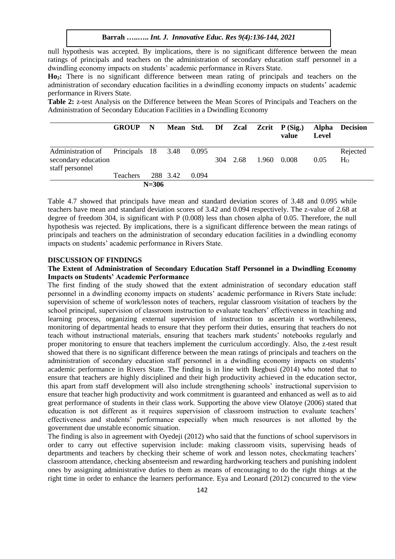null hypothesis was accepted. By implications, there is no significant difference between the mean ratings of principals and teachers on the administration of secondary education staff personnel in a dwindling economy impacts on students' academic performance in Rivers State.

**Ho2:** There is no significant difference between mean rating of principals and teachers on the administration of secondary education facilities in a dwindling economy impacts on students' academic performance in Rivers State.

**Table 2:** z-test Analysis on the Difference between the Mean Scores of Principals and Teachers on the Administration of Secondary Education Facilities in a Dwindling Economy

|                                                                                | <b>GROUP</b>    | $\mathbf N$ |          |       |     |      | Mean Std. Df Zcal Zcrit P(Sig.)<br>value | <b>Level</b> | Alpha Decision             |
|--------------------------------------------------------------------------------|-----------------|-------------|----------|-------|-----|------|------------------------------------------|--------------|----------------------------|
| Administration of Principals 18 3.48<br>secondary education<br>staff personnel |                 |             |          | 0.095 | 304 | 2.68 | 1.960 0.008                              | 0.05         | Rejected<br>H <sub>o</sub> |
|                                                                                | <b>Teachers</b> |             | 288 3.42 | 0.094 |     |      |                                          |              |                            |
|                                                                                |                 |             |          |       |     |      |                                          |              |                            |

Table 4.7 showed that principals have mean and standard deviation scores of 3.48 and 0.095 while teachers have mean and standard deviation scores of 3.42 and 0.094 respectively. The z-value of 2.68 at degree of freedom 304, is significant with P (0.008) less than chosen alpha of 0.05. Therefore, the null hypothesis was rejected. By implications, there is a significant difference between the mean ratings of principals and teachers on the administration of secondary education facilities in a dwindling economy impacts on students' academic performance in Rivers State.

#### **DISCUSSION OF FINDINGS**

## **The Extent of Administration of Secondary Education Staff Personnel in a Dwindling Economy Impacts on Students' Academic Performance**

The first finding of the study showed that the extent administration of secondary education staff personnel in a dwindling economy impacts on students' academic performance in Rivers State include: supervision of scheme of work/lesson notes of teachers, regular classroom visitation of teachers by the school principal, supervision of classroom instruction to evaluate teachers' effectiveness in teaching and learning process, organizing external supervision of instruction to ascertain it worthwhileness, monitoring of departmental heads to ensure that they perform their duties, ensuring that teachers do not teach without instructional materials, ensuring that teachers mark students' notebooks regularly and proper monitoring to ensure that teachers implement the curriculum accordingly. Also, the z-test result showed that there is no significant difference between the mean ratings of principals and teachers on the administration of secondary education staff personnel in a dwindling economy impacts on students' academic performance in Rivers State. The finding is in line with Ikegbusi (2014) who noted that to ensure that teachers are highly disciplined and their high productivity achieved in the education sector, this apart from staff development will also include strengthening schools' instructional supervision to ensure that teacher high productivity and work commitment is guaranteed and enhanced as well as to aid great performance of students in their class work. Supporting the above view Olatoye (2006) stated that education is not different as it requires supervision of classroom instruction to evaluate teachers' effectiveness and students' performance especially when much resources is not allotted by the government due unstable economic situation.

The finding is also in agreement with Oyedeji (2012) who said that the functions of school supervisors in order to carry out effective supervision include: making classroom visits, supervising heads of departments and teachers by checking their scheme of work and lesson notes, checkmating teachers' classroom attendance, checking absenteeism and rewarding hardworking teachers and punishing indolent ones by assigning administrative duties to them as means of encouraging to do the right things at the right time in order to enhance the learners performance. Eya and Leonard (2012) concurred to the view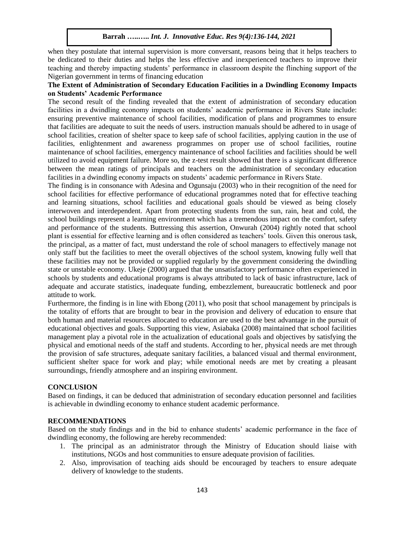when they postulate that internal supervision is more conversant, reasons being that it helps teachers to be dedicated to their duties and helps the less effective and inexperienced teachers to improve their teaching and thereby impacting students' performance in classroom despite the flinching support of the Nigerian government in terms of financing education

# **The Extent of Administration of Secondary Education Facilities in a Dwindling Economy Impacts on Students' Academic Performance**

The second result of the finding revealed that the extent of administration of secondary education facilities in a dwindling economy impacts on students' academic performance in Rivers State include: ensuring preventive maintenance of school facilities, modification of plans and programmes to ensure that facilities are adequate to suit the needs of users. instruction manuals should be adhered to in usage of school facilities, creation of shelter space to keep safe of school facilities, applying caution in the use of facilities, enlightenment and awareness programmes on proper use of school facilities, routine maintenance of school facilities, emergency maintenance of school facilities and facilities should be well utilized to avoid equipment failure. More so, the z-test result showed that there is a significant difference between the mean ratings of principals and teachers on the administration of secondary education facilities in a dwindling economy impacts on students' academic performance in Rivers State.

The finding is in consonance with Adesina and Ogunsaju (2003) who in their recognition of the need for school facilities for effective performance of educational programmes noted that for effective teaching and learning situations, school facilities and educational goals should be viewed as being closely interwoven and interdependent. Apart from protecting students from the sun, rain, heat and cold, the school buildings represent a learning environment which has a tremendous impact on the comfort, safety and performance of the students. Buttressing this assertion, Onwurah (2004) rightly noted that school plant is essential for effective learning and is often considered as teachers' tools. Given this onerous task, the principal, as a matter of fact, must understand the role of school managers to effectively manage not only staff but the facilities to meet the overall objectives of the school system, knowing fully well that these facilities may not be provided or supplied regularly by the government considering the dwindling state or unstable economy. Ukeje (2000) argued that the unsatisfactory performance often experienced in schools by students and educational programs is always attributed to lack of basic infrastructure, lack of adequate and accurate statistics, inadequate funding, embezzlement, bureaucratic bottleneck and poor attitude to work.

Furthermore, the finding is in line with Ebong (2011), who posit that school management by principals is the totality of efforts that are brought to bear in the provision and delivery of education to ensure that both human and material resources allocated to education are used to the best advantage in the pursuit of educational objectives and goals. Supporting this view, Asiabaka (2008) maintained that school facilities management play a pivotal role in the actualization of educational goals and objectives by satisfying the physical and emotional needs of the staff and students. According to her, physical needs are met through the provision of safe structures, adequate sanitary facilities, a balanced visual and thermal environment, sufficient shelter space for work and play; while emotional needs are met by creating a pleasant surroundings, friendly atmosphere and an inspiring environment.

## **CONCLUSION**

Based on findings, it can be deduced that administration of secondary education personnel and facilities is achievable in dwindling economy to enhance student academic performance.

## **RECOMMENDATIONS**

Based on the study findings and in the bid to enhance students' academic performance in the face of dwindling economy, the following are hereby recommended:

- 1. The principal as an administrator through the Ministry of Education should liaise with institutions, NGOs and host communities to ensure adequate provision of facilities.
- 2. Also, improvisation of teaching aids should be encouraged by teachers to ensure adequate delivery of knowledge to the students.